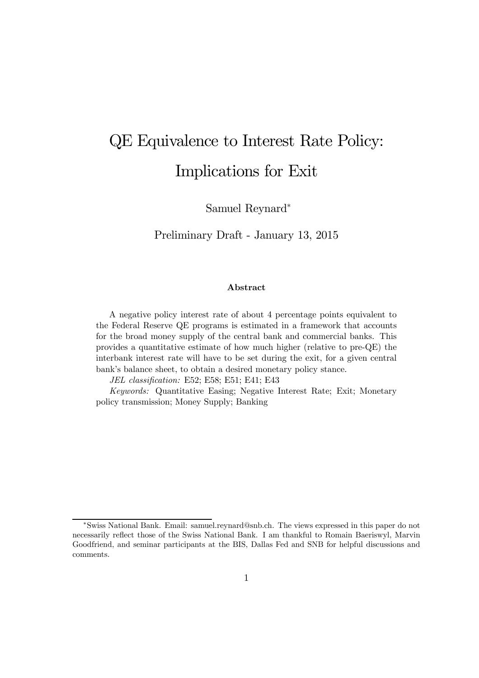# QE Equivalence to Interest Rate Policy: Implications for Exit

Samuel Reynard<sup>∗</sup>

Preliminary Draft - January 13, 2015

## Abstract

A negative policy interest rate of about 4 percentage points equivalent to the Federal Reserve QE programs is estimated in a framework that accounts for the broad money supply of the central bank and commercial banks. This provides a quantitative estimate of how much higher (relative to pre-QE) the interbank interest rate will have to be set during the exit, for a given central bank's balance sheet, to obtain a desired monetary policy stance.

JEL classification: E52; E58; E51; E41; E43

Keywords: Quantitative Easing; Negative Interest Rate; Exit; Monetary policy transmission; Money Supply; Banking

<sup>∗</sup>Swiss National Bank. Email: samuel.reynard@snb.ch. The views expressed in this paper do not necessarily reflect those of the Swiss National Bank. I am thankful to Romain Baeriswyl, Marvin Goodfriend, and seminar participants at the BIS, Dallas Fed and SNB for helpful discussions and comments.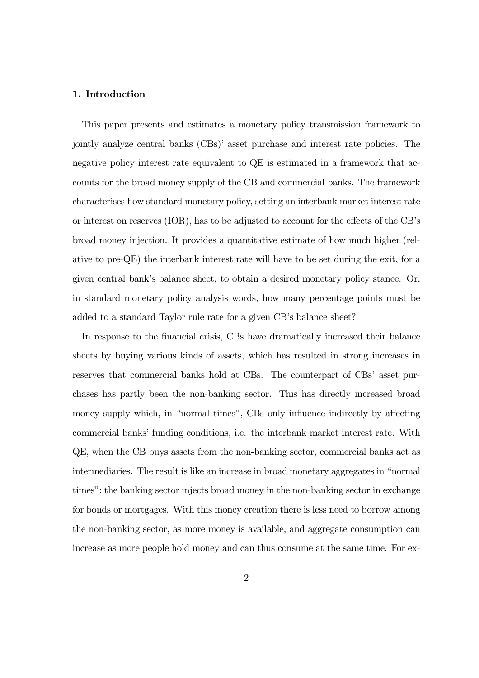#### 1. Introduction

This paper presents and estimates a monetary policy transmission framework to jointly analyze central banks (CBs)' asset purchase and interest rate policies. The negative policy interest rate equivalent to QE is estimated in a framework that accounts for the broad money supply of the CB and commercial banks. The framework characterises how standard monetary policy, setting an interbank market interest rate or interest on reserves (IOR), has to be adjusted to account for the effects of the CB's broad money injection. It provides a quantitative estimate of how much higher (relative to pre-QE) the interbank interest rate will have to be set during the exit, for a given central bank's balance sheet, to obtain a desired monetary policy stance. Or, in standard monetary policy analysis words, how many percentage points must be added to a standard Taylor rule rate for a given CB's balance sheet?

In response to the financial crisis, CBs have dramatically increased their balance sheets by buying various kinds of assets, which has resulted in strong increases in reserves that commercial banks hold at CBs. The counterpart of CBs' asset purchases has partly been the non-banking sector. This has directly increased broad money supply which, in "normal times", CBs only influence indirectly by affecting commercial banks' funding conditions, i.e. the interbank market interest rate. With QE, when the CB buys assets from the non-banking sector, commercial banks act as intermediaries. The result is like an increase in broad monetary aggregates in "normal times": the banking sector injects broad money in the non-banking sector in exchange for bonds or mortgages. With this money creation there is less need to borrow among the non-banking sector, as more money is available, and aggregate consumption can increase as more people hold money and can thus consume at the same time. For ex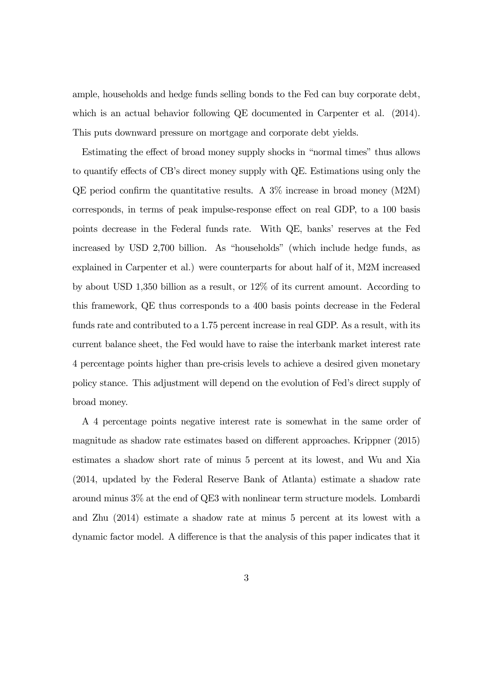ample, households and hedge funds selling bonds to the Fed can buy corporate debt, which is an actual behavior following QE documented in Carpenter et al.  $(2014)$ . This puts downward pressure on mortgage and corporate debt yields.

Estimating the effect of broad money supply shocks in "normal times" thus allows to quantify effects of CB's direct money supply with QE. Estimations using only the QE period confirm the quantitative results. A 3% increase in broad money (M2M) corresponds, in terms of peak impulse-response effect on real GDP, to a 100 basis points decrease in the Federal funds rate. With QE, banks' reserves at the Fed increased by USD 2,700 billion. As "households" (which include hedge funds, as explained in Carpenter et al.) were counterparts for about half of it, M2M increased by about USD 1,350 billion as a result, or 12% of its current amount. According to this framework, QE thus corresponds to a 400 basis points decrease in the Federal funds rate and contributed to a 1.75 percent increase in real GDP. As a result, with its current balance sheet, the Fed would have to raise the interbank market interest rate 4 percentage points higher than pre-crisis levels to achieve a desired given monetary policy stance. This adjustment will depend on the evolution of Fed's direct supply of broad money.

A 4 percentage points negative interest rate is somewhat in the same order of magnitude as shadow rate estimates based on different approaches. Krippner (2015) estimates a shadow short rate of minus 5 percent at its lowest, and Wu and Xia (2014, updated by the Federal Reserve Bank of Atlanta) estimate a shadow rate around minus 3% at the end of QE3 with nonlinear term structure models. Lombardi and Zhu (2014) estimate a shadow rate at minus 5 percent at its lowest with a dynamic factor model. A difference is that the analysis of this paper indicates that it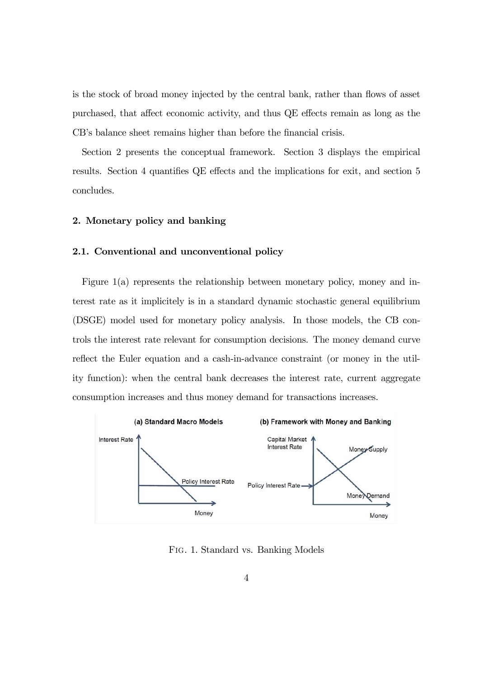is the stock of broad money injected by the central bank, rather than flows of asset purchased, that affect economic activity, and thus QE effects remain as long as the CB's balance sheet remains higher than before the financial crisis.

Section 2 presents the conceptual framework. Section 3 displays the empirical results. Section 4 quantifies QE effects and the implications for exit, and section 5 concludes.

#### 2. Monetary policy and banking

## 2.1. Conventional and unconventional policy

Figure 1(a) represents the relationship between monetary policy, money and interest rate as it implicitely is in a standard dynamic stochastic general equilibrium (DSGE) model used for monetary policy analysis. In those models, the CB controls the interest rate relevant for consumption decisions. The money demand curve reflect the Euler equation and a cash-in-advance constraint (or money in the utility function): when the central bank decreases the interest rate, current aggregate consumption increases and thus money demand for transactions increases.



Fig. 1. Standard vs. Banking Models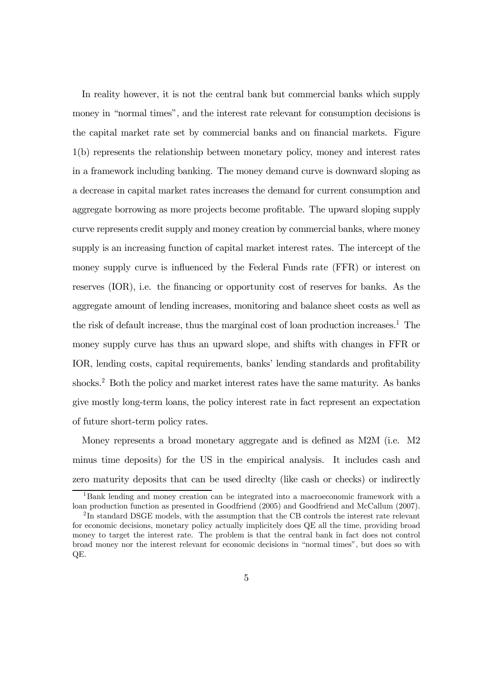In reality however, it is not the central bank but commercial banks which supply money in "normal times", and the interest rate relevant for consumption decisions is the capital market rate set by commercial banks and on financial markets. Figure 1(b) represents the relationship between monetary policy, money and interest rates in a framework including banking. The money demand curve is downward sloping as a decrease in capital market rates increases the demand for current consumption and aggregate borrowing as more projects become profitable. The upward sloping supply curve represents credit supply and money creation by commercial banks, where money supply is an increasing function of capital market interest rates. The intercept of the money supply curve is influenced by the Federal Funds rate (FFR) or interest on reserves (IOR), i.e. the financing or opportunity cost of reserves for banks. As the aggregate amount of lending increases, monitoring and balance sheet costs as well as the risk of default increase, thus the marginal cost of loan production increases.<sup>1</sup> The money supply curve has thus an upward slope, and shifts with changes in FFR or IOR, lending costs, capital requirements, banks' lending standards and profitability shocks.<sup>2</sup> Both the policy and market interest rates have the same maturity. As banks give mostly long-term loans, the policy interest rate in fact represent an expectation of future short-term policy rates.

Money represents a broad monetary aggregate and is defined as M2M (i.e. M2 minus time deposits) for the US in the empirical analysis. It includes cash and zero maturity deposits that can be used direclty (like cash or checks) or indirectly

<sup>1</sup>Bank lending and money creation can be integrated into a macroeconomic framework with a loan production function as presented in Goodfriend (2005) and Goodfriend and McCallum (2007).

<sup>&</sup>lt;sup>2</sup>In standard DSGE models, with the assumption that the CB controls the interest rate relevant for economic decisions, monetary policy actually implicitely does QE all the time, providing broad money to target the interest rate. The problem is that the central bank in fact does not control broad money nor the interest relevant for economic decisions in "normal times", but does so with QE.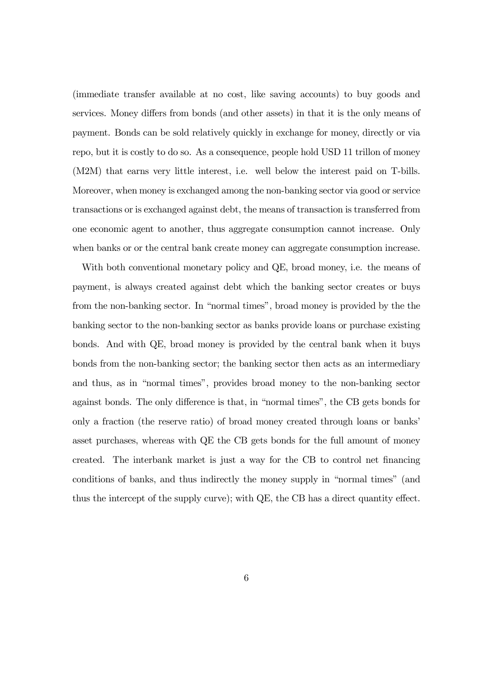(immediate transfer available at no cost, like saving accounts) to buy goods and services. Money differs from bonds (and other assets) in that it is the only means of payment. Bonds can be sold relatively quickly in exchange for money, directly or via repo, but it is costly to do so. As a consequence, people hold USD 11 trillon of money (M2M) that earns very little interest, i.e. well below the interest paid on T-bills. Moreover, when money is exchanged among the non-banking sector via good or service transactions or is exchanged against debt, the means of transaction is transferred from one economic agent to another, thus aggregate consumption cannot increase. Only when banks or or the central bank create money can aggregate consumption increase.

With both conventional monetary policy and QE, broad money, i.e. the means of payment, is always created against debt which the banking sector creates or buys from the non-banking sector. In "normal times", broad money is provided by the the banking sector to the non-banking sector as banks provide loans or purchase existing bonds. And with QE, broad money is provided by the central bank when it buys bonds from the non-banking sector; the banking sector then acts as an intermediary and thus, as in "normal times", provides broad money to the non-banking sector against bonds. The only difference is that, in "normal times", the CB gets bonds for only a fraction (the reserve ratio) of broad money created through loans or banks' asset purchases, whereas with QE the CB gets bonds for the full amount of money created. The interbank market is just a way for the CB to control net financing conditions of banks, and thus indirectly the money supply in "normal times" (and thus the intercept of the supply curve); with QE, the CB has a direct quantity effect.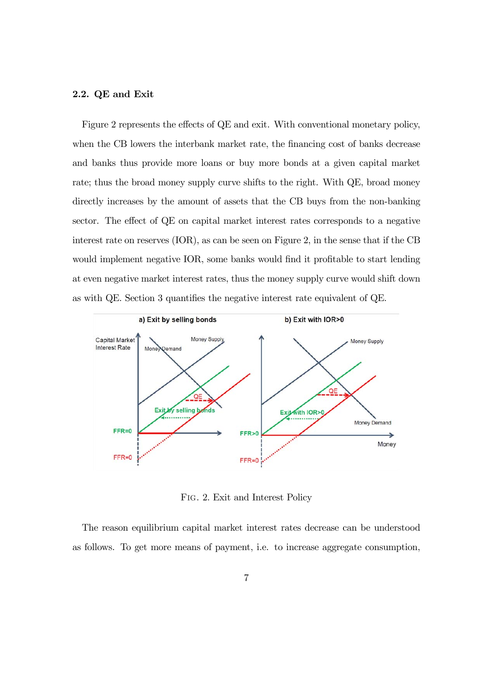#### 2.2. QE and Exit

Figure 2 represents the effects of QE and exit. With conventional monetary policy, when the CB lowers the interbank market rate, the financing cost of banks decrease and banks thus provide more loans or buy more bonds at a given capital market rate; thus the broad money supply curve shifts to the right. With QE, broad money directly increases by the amount of assets that the CB buys from the non-banking sector. The effect of QE on capital market interest rates corresponds to a negative interest rate on reserves (IOR), as can be seen on Figure 2, in the sense that if the CB would implement negative IOR, some banks would find it profitable to start lending at even negative market interest rates, thus the money supply curve would shift down as with QE. Section 3 quantifies the negative interest rate equivalent of QE.



Fig. 2. Exit and Interest Policy

The reason equilibrium capital market interest rates decrease can be understood as follows. To get more means of payment, i.e. to increase aggregate consumption,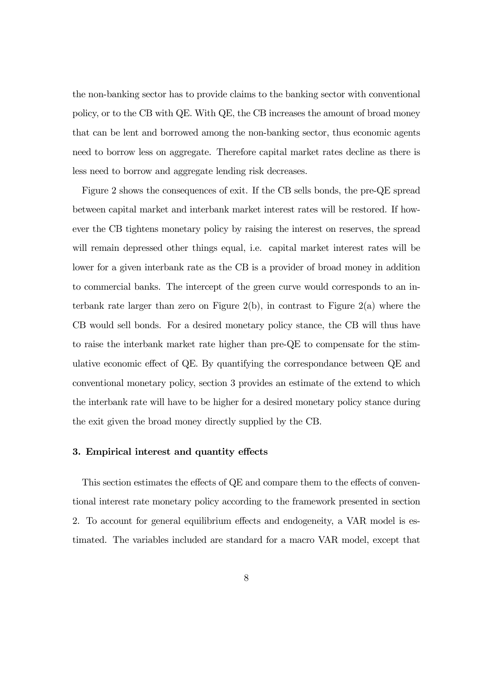the non-banking sector has to provide claims to the banking sector with conventional policy, or to the CB with QE. With QE, the CB increases the amount of broad money that can be lent and borrowed among the non-banking sector, thus economic agents need to borrow less on aggregate. Therefore capital market rates decline as there is less need to borrow and aggregate lending risk decreases.

Figure 2 shows the consequences of exit. If the CB sells bonds, the pre-QE spread between capital market and interbank market interest rates will be restored. If however the CB tightens monetary policy by raising the interest on reserves, the spread will remain depressed other things equal, i.e. capital market interest rates will be lower for a given interbank rate as the CB is a provider of broad money in addition to commercial banks. The intercept of the green curve would corresponds to an interbank rate larger than zero on Figure 2(b), in contrast to Figure 2(a) where the CB would sell bonds. For a desired monetary policy stance, the CB will thus have to raise the interbank market rate higher than pre-QE to compensate for the stimulative economic effect of QE. By quantifying the correspondance between QE and conventional monetary policy, section 3 provides an estimate of the extend to which the interbank rate will have to be higher for a desired monetary policy stance during the exit given the broad money directly supplied by the CB.

#### 3. Empirical interest and quantity effects

This section estimates the effects of QE and compare them to the effects of conventional interest rate monetary policy according to the framework presented in section 2. To account for general equilibrium effects and endogeneity, a VAR model is estimated. The variables included are standard for a macro VAR model, except that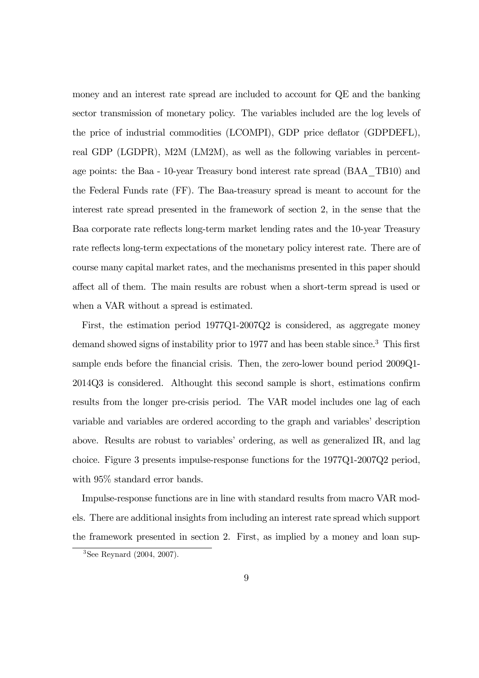money and an interest rate spread are included to account for QE and the banking sector transmission of monetary policy. The variables included are the log levels of the price of industrial commodities (LCOMPI), GDP price deflator (GDPDEFL), real GDP (LGDPR), M2M (LM2M), as well as the following variables in percentage points: the Baa - 10-year Treasury bond interest rate spread (BAA\_TB10) and the Federal Funds rate (FF). The Baa-treasury spread is meant to account for the interest rate spread presented in the framework of section 2, in the sense that the Baa corporate rate reflects long-term market lending rates and the 10-year Treasury rate reflects long-term expectations of the monetary policy interest rate. There are of course many capital market rates, and the mechanisms presented in this paper should affect all of them. The main results are robust when a short-term spread is used or when a VAR without a spread is estimated.

First, the estimation period 1977Q1-2007Q2 is considered, as aggregate money demand showed signs of instability prior to 1977 and has been stable since.3 This first sample ends before the financial crisis. Then, the zero-lower bound period 2009Q1- 2014Q3 is considered. Althought this second sample is short, estimations confirm results from the longer pre-crisis period. The VAR model includes one lag of each variable and variables are ordered according to the graph and variables' description above. Results are robust to variables' ordering, as well as generalized IR, and lag choice. Figure 3 presents impulse-response functions for the 1977Q1-2007Q2 period, with 95% standard error bands.

Impulse-response functions are in line with standard results from macro VAR models. There are additional insights from including an interest rate spread which support the framework presented in section 2. First, as implied by a money and loan sup-

<sup>3</sup>See Reynard (2004, 2007).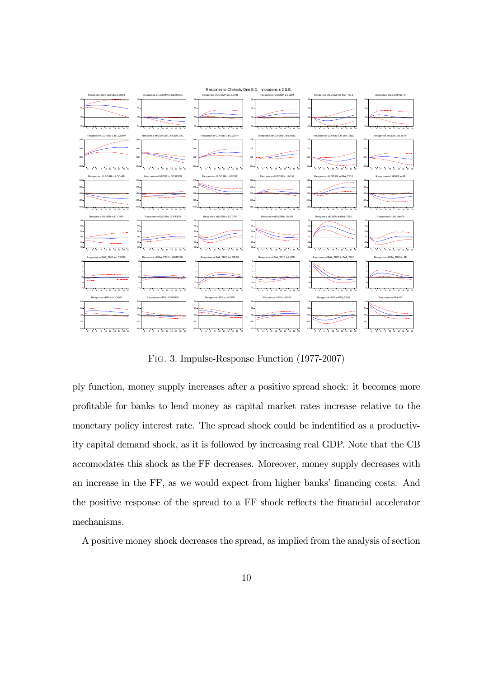

Fig. 3. Impulse-Response Function (1977-2007)

ply function, money supply increases after a positive spread shock: it becomes more profitable for banks to lend money as capital market rates increase relative to the monetary policy interest rate. The spread shock could be indentified as a productivity capital demand shock, as it is followed by increasing real GDP. Note that the CB accomodates this shock as the FF decreases. Moreover, money supply decreases with an increase in the FF, as we would expect from higher banks' financing costs. And the positive response of the spread to a FF shock reflects the financial accelerator mechanisms.

A positive money shock decreases the spread, as implied from the analysis of section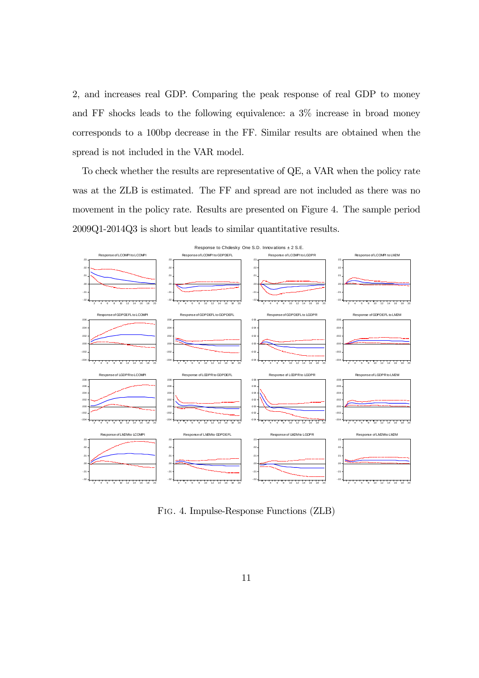2, and increases real GDP. Comparing the peak response of real GDP to money and FF shocks leads to the following equivalence: a 3% increase in broad money corresponds to a 100bp decrease in the FF. Similar results are obtained when the spread is not included in the VAR model.

To check whether the results are representative of QE, a VAR when the policy rate was at the ZLB is estimated. The FF and spread are not included as there was no movement in the policy rate. Results are presented on Figure 4. The sample period 2009Q1-2014Q3 is short but leads to similar quantitative results.



Fig. 4. Impulse-Response Functions (ZLB)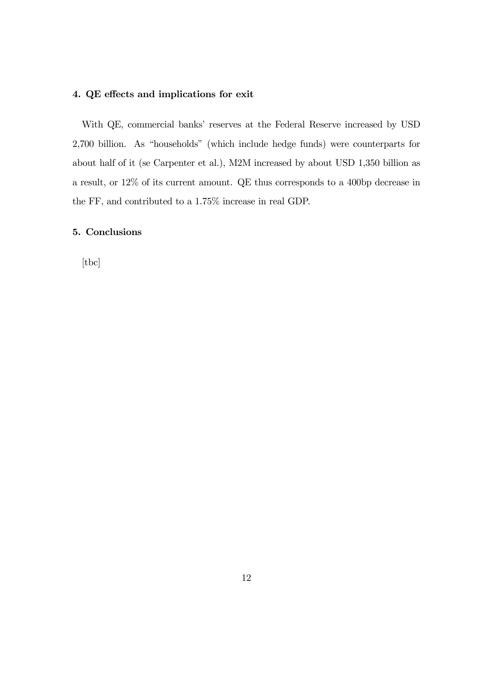# 4. QE effects and implications for exit

With QE, commercial banks' reserves at the Federal Reserve increased by USD 2,700 billion. As "households" (which include hedge funds) were counterparts for about half of it (se Carpenter et al.), M2M increased by about USD 1,350 billion as a result, or 12% of its current amount. QE thus corresponds to a 400bp decrease in the FF, and contributed to a 1.75% increase in real GDP.

## 5. Conclusions

[tbc]